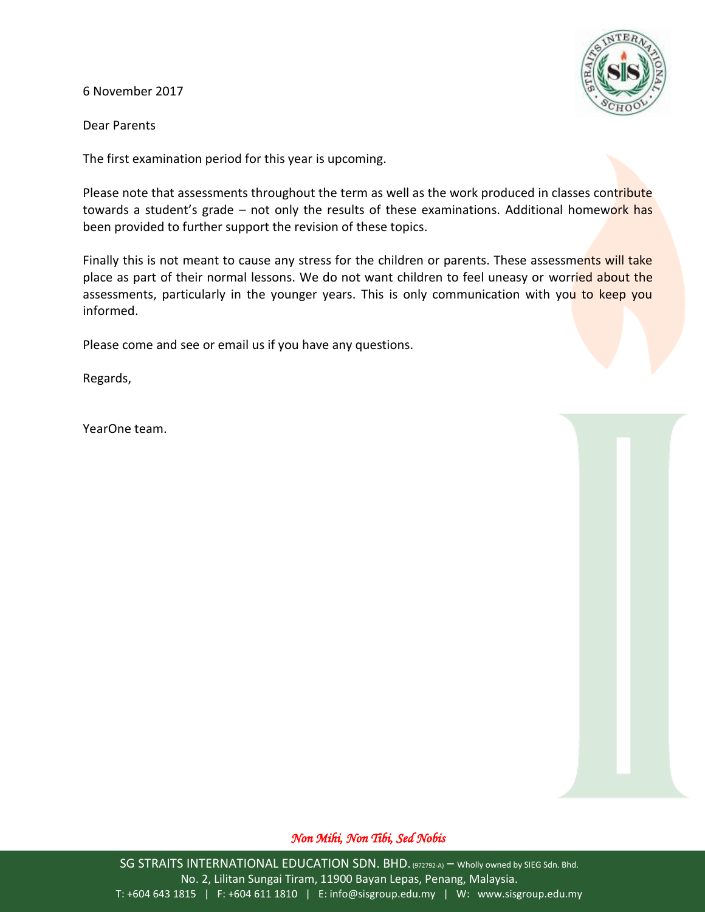6 November 2017



Dear Parents

The first examination period for this year is upcoming.

Please note that assessments throughout the term as well as the work produced in classes contribute towards a student's grade – not only the results of these examinations. Additional homework has been provided to further support the revision of these topics.

Finally this is not meant to cause any stress for the children or parents. These assessments will take place as part of their normal lessons. We do not want children to feel uneasy or worried about the assessments, particularly in the younger years. This is only communication with you to keep you informed.

Please come and see or email us if you have any questions.

Regards,

YearOne team.

### *Non Mihi, Non Tibi, Sed Nobis*

SG STRAITS INTERNATIONAL EDUCATION SDN. BHD. (972792-A) – Wholly owned by SIEG Sdn. Bhd. No. 2, Lilitan Sungai Tiram, 11900 Bayan Lepas, Penang, Malaysia. T: +604 643 1815 | F: +604 611 1810 | E: info@sisgroup.edu.my | W: www.sisgroup.edu.my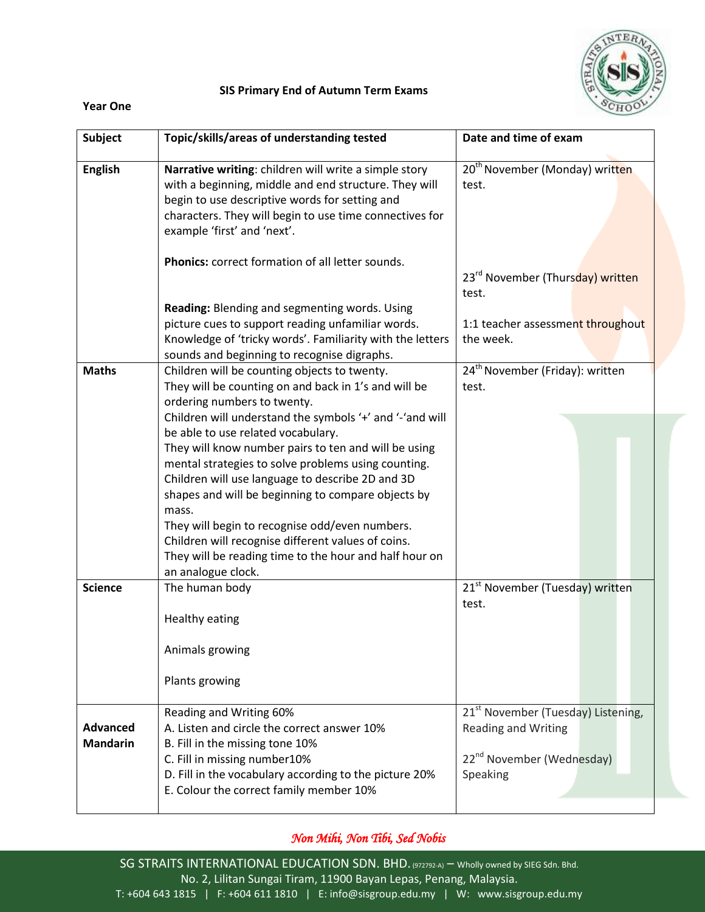

### **SIS Primary End of Autumn Term Exams**

#### **Year One**

| <b>Subject</b>                     | Topic/skills/areas of understanding tested                                                                                                                                                                                                                 | Date and time of exam                                                                                                             |
|------------------------------------|------------------------------------------------------------------------------------------------------------------------------------------------------------------------------------------------------------------------------------------------------------|-----------------------------------------------------------------------------------------------------------------------------------|
| <b>English</b>                     | Narrative writing: children will write a simple story<br>with a beginning, middle and end structure. They will<br>begin to use descriptive words for setting and<br>characters. They will begin to use time connectives for<br>example 'first' and 'next'. | 20 <sup>th</sup> November (Monday) written<br>test.                                                                               |
|                                    | <b>Phonics:</b> correct formation of all letter sounds.                                                                                                                                                                                                    | 23 <sup>rd</sup> November (Thursday) written<br>test.                                                                             |
|                                    | Reading: Blending and segmenting words. Using<br>picture cues to support reading unfamiliar words.<br>Knowledge of 'tricky words'. Familiarity with the letters<br>sounds and beginning to recognise digraphs.                                             | 1:1 teacher assessment throughout<br>the week.                                                                                    |
| <b>Maths</b>                       | Children will be counting objects to twenty.<br>They will be counting on and back in 1's and will be<br>ordering numbers to twenty.<br>Children will understand the symbols '+' and '-'and will<br>be able to use related vocabulary.                      | 24 <sup>th</sup> November (Friday): written<br>test.                                                                              |
|                                    | They will know number pairs to ten and will be using<br>mental strategies to solve problems using counting.<br>Children will use language to describe 2D and 3D<br>shapes and will be beginning to compare objects by<br>mass.                             |                                                                                                                                   |
|                                    | They will begin to recognise odd/even numbers.<br>Children will recognise different values of coins.<br>They will be reading time to the hour and half hour on<br>an analogue clock.                                                                       |                                                                                                                                   |
| <b>Science</b>                     | The human body<br>Healthy eating                                                                                                                                                                                                                           | 21 <sup>st</sup> November (Tuesday) written<br>test.                                                                              |
|                                    | Animals growing                                                                                                                                                                                                                                            |                                                                                                                                   |
|                                    | Plants growing                                                                                                                                                                                                                                             |                                                                                                                                   |
| <b>Advanced</b><br><b>Mandarin</b> | Reading and Writing 60%<br>A. Listen and circle the correct answer 10%<br>B. Fill in the missing tone 10%<br>C. Fill in missing number10%<br>D. Fill in the vocabulary according to the picture 20%<br>E. Colour the correct family member 10%             | 21 <sup>st</sup> November (Tuesday) Listening,<br><b>Reading and Writing</b><br>22 <sup>nd</sup> November (Wednesday)<br>Speaking |

## *Non Mihi, Non Tibi, Sed Nobis*

SG STRAITS INTERNATIONAL EDUCATION SDN. BHD. (972792-A) – Wholly owned by SIEG Sdn. Bhd. No. 2, Lilitan Sungai Tiram, 11900 Bayan Lepas, Penang, Malaysia. T: +604 643 1815 | F: +604 611 1810 | E: info@sisgroup.edu.my | W: www.sisgroup.edu.my